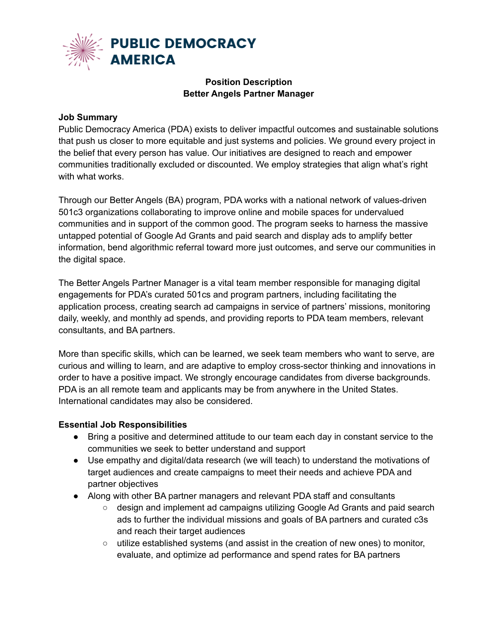

## **Position Description Better Angels Partner Manager**

## **Job Summary**

Public Democracy America (PDA) exists to deliver impactful outcomes and sustainable solutions that push us closer to more equitable and just systems and policies. We ground every project in the belief that every person has value. Our initiatives are designed to reach and empower communities traditionally excluded or discounted. We employ strategies that align what's right with what works.

Through our Better Angels (BA) program, PDA works with a national network of values-driven 501c3 organizations collaborating to improve online and mobile spaces for undervalued communities and in support of the common good. The program seeks to harness the massive untapped potential of Google Ad Grants and paid search and display ads to amplify better information, bend algorithmic referral toward more just outcomes, and serve our communities in the digital space.

The Better Angels Partner Manager is a vital team member responsible for managing digital engagements for PDA's curated 501cs and program partners, including facilitating the application process, creating search ad campaigns in service of partners' missions, monitoring daily, weekly, and monthly ad spends, and providing reports to PDA team members, relevant consultants, and BA partners.

More than specific skills, which can be learned, we seek team members who want to serve, are curious and willing to learn, and are adaptive to employ cross-sector thinking and innovations in order to have a positive impact. We strongly encourage candidates from diverse backgrounds. PDA is an all remote team and applicants may be from anywhere in the United States. International candidates may also be considered.

## **Essential Job Responsibilities**

- Bring a positive and determined attitude to our team each day in constant service to the communities we seek to better understand and support
- Use empathy and digital/data research (we will teach) to understand the motivations of target audiences and create campaigns to meet their needs and achieve PDA and partner objectives
- Along with other BA partner managers and relevant PDA staff and consultants
	- design and implement ad campaigns utilizing Google Ad Grants and paid search ads to further the individual missions and goals of BA partners and curated c3s and reach their target audiences
	- $\circ$  utilize established systems (and assist in the creation of new ones) to monitor, evaluate, and optimize ad performance and spend rates for BA partners